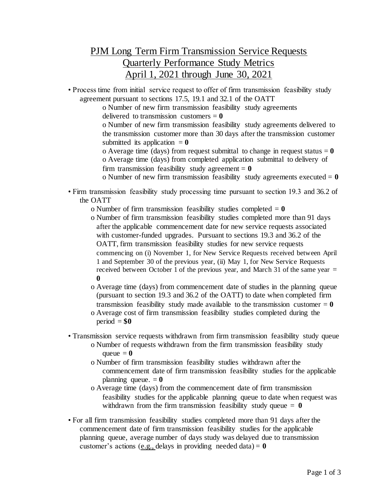## PJM Long Term Firm Transmission Service Requests Quarterly Performance Study Metrics April 1, 2021 through June 30, 2021

• Process time from initial service request to offer of firm transmission feasibility study agreement pursuant to sections 17.5, 19.1 and 32.1 of the OATT

> o Number of new firm transmission feasibility study agreements delivered to transmission customers  $= 0$

o Number of new firm transmission feasibility study agreements delivered to the transmission customer more than 30 days after the transmission customer submitted its application  $= 0$ 

o Average time (days) from request submittal to change in request status  $= 0$ o Average time (days) from completed application submittal to delivery of firm transmission feasibility study agreement  $= 0$ 

o Number of new firm transmission feasibility study agreements executed  $= 0$ 

• Firm transmission feasibility study processing time pursuant to section 19.3 and 36.2 of the OATT

o Number of firm transmission feasibility studies completed = **0**

- o Number of firm transmission feasibility studies completed more than 91 days after the applicable commencement date for new service requests associated with customer-funded upgrades. Pursuant to sections 19.3 and 36.2 of the OATT, firm transmission feasibility studies for new service requests commencing on (i) November 1, for New Service Requests received between April 1 and September 30 of the previous year, (ii) May 1, for New Service Requests received between October 1 of the previous year, and March 31 of the same year  $=$ **0**
- o Average time (days) from commencement date of studies in the planning queue (pursuant to section 19.3 and 36.2 of the OATT) to date when completed firm transmission feasibility study made available to the transmission customer  $= 0$
- o Average cost of firm transmission feasibility studies completed during the  $period = $0$
- Transmission service requests withdrawn from firm transmission feasibility study queue
	- o Number of requests withdrawn from the firm transmission feasibility study queue  $= 0$
	- o Number of firm transmission feasibility studies withdrawn after the commencement date of firm transmission feasibility studies for the applicable planning queue.  $= 0$
	- o Average time (days) from the commencement date of firm transmission feasibility studies for the applicable planning queue to date when request was withdrawn from the firm transmission feasibility study queue  $= 0$
- For all firm transmission feasibility studies completed more than 91 days after the commencement date of firm transmission feasibility studies for the applicable planning queue, average number of days study was delayed due to transmission customer's actions (e.g., delays in providing needed data) =  $\mathbf{0}$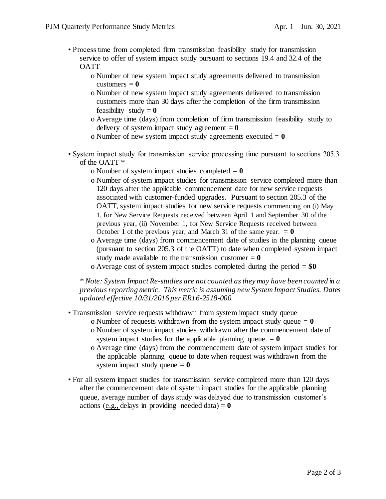- Process time from completed firm transmission feasibility study for transmission service to offer of system impact study pursuant to sections 19.4 and 32.4 of the OATT
	- o Number of new system impact study agreements delivered to transmission customers  $= 0$
	- o Number of new system impact study agreements delivered to transmission customers more than 30 days after the completion of the firm transmission feasibility study  $= 0$
	- o Average time (days) from completion of firm transmission feasibility study to delivery of system impact study agreement  $= 0$
	- o Number of new system impact study agreements executed = **0**
- System impact study for transmission service processing time pursuant to sections 205.3 of the OATT \*
	- o Number of system impact studies completed  $= 0$
	- o Number of system impact studies for transmission service completed more than 120 days after the applicable commencement date for new service requests associated with customer-funded upgrades. Pursuant to section 205.3 of the OATT, system impact studies for new service requests commencing on (i) May 1, for New Service Requests received between April 1 and September 30 of the previous year, (ii) November 1, for New Service Requests received between October 1 of the previous year, and March 31 of the same year.  $= 0$
	- o Average time (days) from commencement date of studies in the planning queue (pursuant to section 205.3 of the OATT) to date when completed system impact study made available to the transmission customer  $= 0$
	- o Average cost of system impact studies completed during the period = **\$0**

*\* Note: System Impact Re-studies are not counted as they may have been counted in a previous reporting metric. This metric is assuming new System Impact Studies. Dates updated effective 10/31/2016 per ER16-2518-000.*

- Transmission service requests withdrawn from system impact study queue
	- o Number of requests withdrawn from the system impact study queue  $= 0$
	- o Number of system impact studies withdrawn after the commencement date of system impact studies for the applicable planning queue.  $= 0$
	- o Average time (days) from the commencement date of system impact studies for the applicable planning queue to date when request was withdrawn from the system impact study queue  $= 0$
- For all system impact studies for transmission service completed more than 120 days after the commencement date of system impact studies for the applicable planning queue, average number of days study was delayed due to transmission customer's actions (e.g., delays in providing needed data)  $= 0$